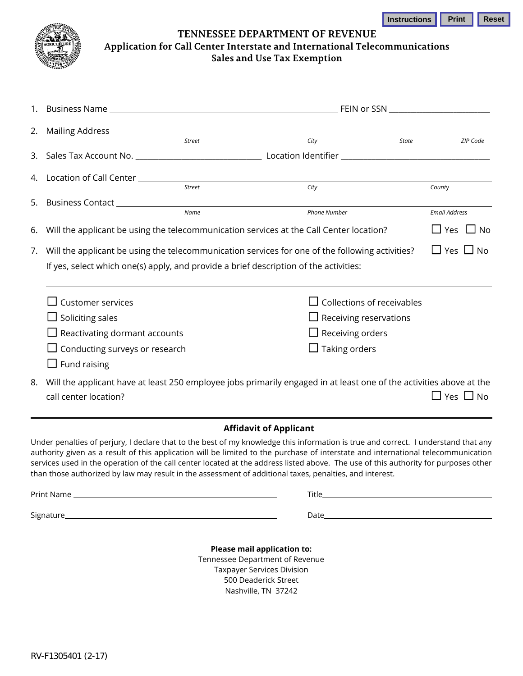

**TENNESSEE DEPARTMENT OF REVENUE Application for Call Center Interstate and International Telecommunications Sales and Use Tax Exemption**

|                                                                                       |                                                                            | FEIN or SSN __________________________                                                                                                                              |                      |
|---------------------------------------------------------------------------------------|----------------------------------------------------------------------------|---------------------------------------------------------------------------------------------------------------------------------------------------------------------|----------------------|
| 2.                                                                                    |                                                                            |                                                                                                                                                                     |                      |
|                                                                                       | Street                                                                     | City<br><b>State</b>                                                                                                                                                | ZIP Code             |
|                                                                                       |                                                                            |                                                                                                                                                                     |                      |
| 4.                                                                                    | Location of Call Center <b>Lackala Contains Contains Contains Contains</b> |                                                                                                                                                                     |                      |
|                                                                                       | <b>Street</b>                                                              | City                                                                                                                                                                | County               |
| 5.                                                                                    | Business Contact ________________<br>Name                                  | <b>Phone Number</b>                                                                                                                                                 | <b>Email Address</b> |
|                                                                                       |                                                                            |                                                                                                                                                                     |                      |
| 6.                                                                                    |                                                                            | Will the applicant be using the telecommunication services at the Call Center location?                                                                             | $\Box$ Yes $\Box$ No |
| 7.                                                                                    |                                                                            | Will the applicant be using the telecommunication services for one of the following activities?                                                                     | $\Box$ Yes $\Box$ No |
| If yes, select which one(s) apply, and provide a brief description of the activities: |                                                                            |                                                                                                                                                                     |                      |
|                                                                                       |                                                                            |                                                                                                                                                                     |                      |
|                                                                                       | <b>Customer services</b>                                                   | Collections of receivables                                                                                                                                          |                      |
|                                                                                       | $\Box$ Soliciting sales                                                    | $\Box$ Receiving reservations                                                                                                                                       |                      |
|                                                                                       | $\Box$ Reactivating dormant accounts                                       | $\Box$ Receiving orders                                                                                                                                             |                      |
|                                                                                       | $\Box$ Conducting surveys or research                                      | $\Box$ Taking orders                                                                                                                                                |                      |
|                                                                                       | $\Box$ Fund raising                                                        |                                                                                                                                                                     |                      |
| 8.                                                                                    |                                                                            | Will the applicant have at least 250 employee jobs primarily engaged in at least one of the activities above at the                                                 |                      |
|                                                                                       | call center location?                                                      |                                                                                                                                                                     | $\Box$ Yes $\Box$ No |
|                                                                                       |                                                                            |                                                                                                                                                                     |                      |
|                                                                                       |                                                                            | <b>Affidavit of Applicant</b><br>Under penalties of perjury, I declare that to the best of my knowledge this information is true and correct. I understand that any |                      |
|                                                                                       |                                                                            | authority given as a result of this application will be limited to the purchase of interstate and international telecommunication                                   |                      |
|                                                                                       |                                                                            | services used in the operation of the call center located at the address listed above. The use of this authority for purposes other                                 |                      |
|                                                                                       |                                                                            | than those authorized by law may result in the assessment of additional taxes, penalties, and interest.                                                             |                      |

Print Name Title

Signature Date

**Please mail application to:**  Tennessee Department of Revenue Taxpayer Services Division 500 Deaderick Street Nashville, TN 37242